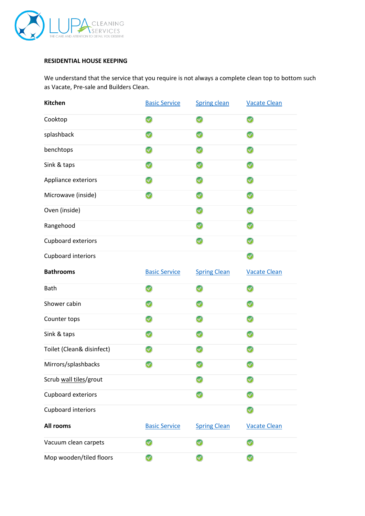

## **RESIDENTIAL HOUSE KEEPING**

We understand that the service that you require is not always a complete clean top to bottom such as Vacate, Pre-sale and Builders Clean.

| Kitchen                   | <b>Basic Service</b> | <b>Spring clean</b> | <b>Vacate Clean</b> |
|---------------------------|----------------------|---------------------|---------------------|
| Cooktop                   | Ø                    | ◎                   | ◎                   |
| splashback                |                      | Ø                   | Ø                   |
| benchtops                 |                      | Ø                   | Ø                   |
| Sink & taps               |                      |                     |                     |
| Appliance exteriors       |                      | ᢦ                   |                     |
| Microwave (inside)        |                      | ᢦ                   |                     |
| Oven (inside)             |                      | v                   | Ø                   |
| Rangehood                 |                      |                     |                     |
| <b>Cupboard exteriors</b> |                      | Ø                   |                     |
| Cupboard interiors        |                      |                     | ◎                   |
| <b>Bathrooms</b>          | <b>Basic Service</b> | <b>Spring Clean</b> | <b>Vacate Clean</b> |
| Bath                      | Ø                    | Ø                   | Ø                   |
| Shower cabin              |                      | Ø                   | Ø                   |
| Counter tops              |                      | v                   |                     |
| Sink & taps               |                      |                     |                     |
| Toilet (Clean& disinfect) |                      |                     |                     |
| Mirrors/splashbacks       |                      |                     |                     |
|                           |                      |                     |                     |
| Scrub wall tiles/grout    |                      |                     |                     |
| Cupboard exteriors        |                      |                     |                     |
| Cupboard interiors        |                      |                     |                     |
| All rooms                 | <b>Basic Service</b> | <b>Spring Clean</b> | <b>Vacate Clean</b> |
| Vacuum clean carpets      |                      |                     |                     |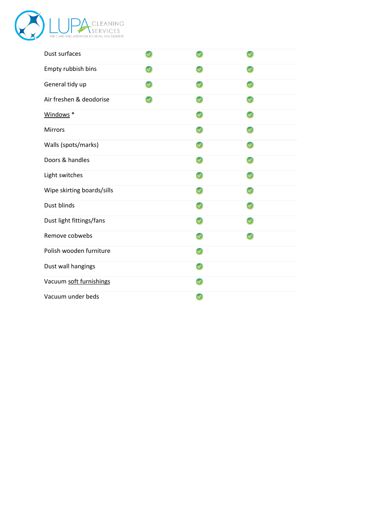

| Dust surfaces              |   |   |
|----------------------------|---|---|
| Empty rubbish bins         | Ø |   |
| General tidy up            | Ø |   |
| Air freshen & deodorise    | Ω | Ω |
| Windows <sup>*</sup>       | Ø |   |
| Mirrors                    | Ø |   |
| Walls (spots/marks)        | Ø |   |
| Doors & handles            | Ø |   |
| Light switches             | v |   |
| Wipe skirting boards/sills | Ω |   |
| Dust blinds                | Ø |   |
| Dust light fittings/fans   | Ω |   |
| Remove cobwebs             | Ø |   |
| Polish wooden furniture    | Ø |   |
| Dust wall hangings         | Ω |   |
| Vacuum soft furnishings    | Ø |   |
| Vacuum under beds          | ◎ |   |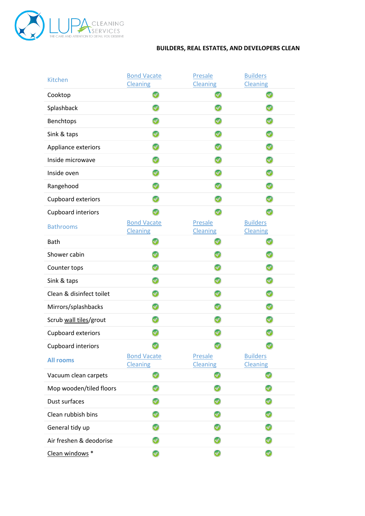

## **BUILDERS, REAL ESTATES, AND DEVELOPERS CLEAN**

| Kitchen                   | <b>Bond Vacate</b><br><b>Cleaning</b> | Presale<br><b>Cleaning</b> | <b>Builders</b><br><b>Cleaning</b> |
|---------------------------|---------------------------------------|----------------------------|------------------------------------|
| Cooktop                   | Ø                                     | Ø                          | v                                  |
| Splashback                | Ø                                     | Ø                          |                                    |
| Benchtops                 |                                       | Ø                          | v                                  |
| Sink & taps               |                                       | ◎                          |                                    |
| Appliance exteriors       |                                       | Ø                          |                                    |
| Inside microwave          |                                       | ◎                          |                                    |
| Inside oven               |                                       | Ø                          |                                    |
| Rangehood                 | Ø                                     | Ø                          | Ø                                  |
| Cupboard exteriors        |                                       | Ø                          | Ø                                  |
| Cupboard interiors        |                                       |                            | Ø                                  |
| <b>Bathrooms</b>          | <b>Bond Vacate</b><br><b>Cleaning</b> | Presale<br><b>Cleaning</b> | <b>Builders</b><br><b>Cleaning</b> |
| Bath                      | Ø                                     | w                          |                                    |
| Shower cabin              | w                                     | Ø                          |                                    |
| Counter tops              | Ø                                     | Ω                          |                                    |
| Sink & taps               |                                       |                            |                                    |
| Clean & disinfect toilet  | Ø                                     | Ø                          | Ø                                  |
| Mirrors/splashbacks       |                                       |                            |                                    |
| Scrub wall tiles/grout    |                                       |                            |                                    |
| Cupboard exteriors        |                                       |                            |                                    |
| <b>Cupboard interiors</b> |                                       |                            |                                    |
| <b>All rooms</b>          | <b>Bond Vacate</b><br><b>Cleaning</b> | Presale<br><b>Cleaning</b> | <b>Builders</b><br><b>Cleaning</b> |
| Vacuum clean carpets      | Ø                                     |                            |                                    |
| Mop wooden/tiled floors   | ☑                                     |                            |                                    |
| Dust surfaces             |                                       |                            |                                    |
| Clean rubbish bins        | ☎                                     |                            |                                    |
| General tidy up           | Ø                                     |                            |                                    |
| Air freshen & deodorise   | Ø                                     |                            |                                    |
| Clean windows *           |                                       |                            |                                    |